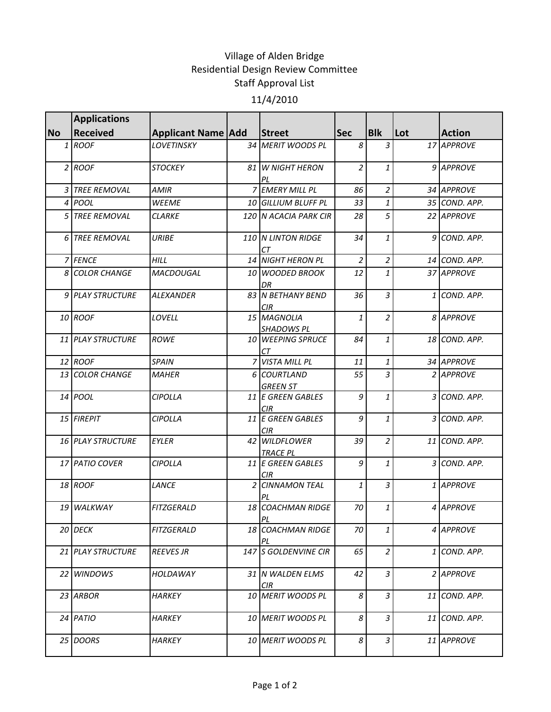## Village of Alden Bridge Residential Design Review Committee Staff Approval List 11/4/2010

|           | <b>Applications</b>      |                           |                                  |                |                |     |               |
|-----------|--------------------------|---------------------------|----------------------------------|----------------|----------------|-----|---------------|
| <b>No</b> | <b>Received</b>          | <b>Applicant Name Add</b> | <b>Street</b>                    | <b>Sec</b>     | <b>Blk</b>     | Lot | <b>Action</b> |
|           | $1$ ROOF                 | <b>LOVETINSKY</b>         | 34 MERIT WOODS PL                | 8              | 3              |     | 17 APPROVE    |
|           | $2$ ROOF                 | <b>STOCKEY</b>            | 81 W NIGHT HERON<br>PL           | 2              | 1              |     | 9 APPROVE     |
|           | <b>3 TREE REMOVAL</b>    | AMIR                      | 7 EMERY MILL PL                  | 86             | $\overline{a}$ |     | 34 APPROVE    |
|           | 4 POOL                   | <b>WEEME</b>              | 10 GILLIUM BLUFF PL              | 33             | 1              |     | 35 COND. APP. |
|           | 5 TREE REMOVAL           | <b>CLARKE</b>             | 120 N ACACIA PARK CIR            | 28             | 5              |     | 22 APPROVE    |
|           | 6 TREE REMOVAL           | <b>URIBE</b>              | 110 N LINTON RIDGE<br>СT         | 34             | 1              |     | 9 COND. APP.  |
|           | 7 FENCE                  | HILL                      | 14 NIGHT HERON PL                | $\overline{c}$ | $\overline{a}$ |     | 14 COND. APP. |
|           | 8 COLOR CHANGE           | MACDOUGAL                 | 10 WOODED BROOK<br>DR            | 12             | $\mathbf{1}$   |     | 37 APPROVE    |
|           | 9 PLAY STRUCTURE         | <b>ALEXANDER</b>          | 83 N BETHANY BEND<br><b>CIR</b>  | 36             | 3              |     | 1 COND. APP.  |
|           | 10 ROOF                  | LOVELL                    | 15 MAGNOLIA<br><b>SHADOWS PL</b> | 1              | $\overline{2}$ |     | 8 APPROVE     |
|           | 11 PLAY STRUCTURE        | <b>ROWE</b>               | 10 WEEPING SPRUCE<br>CТ          | 84             | $\mathbf{1}$   |     | 18 COND. APP. |
|           | 12 ROOF                  | <b>SPAIN</b>              | 7 VISTA MILL PL                  | 11             | 1              |     | 34 APPROVE    |
|           | 13 COLOR CHANGE          | <b>MAHER</b>              | 6 COURTLAND<br><b>GREEN ST</b>   | 55             | 3              |     | 2 APPROVE     |
|           | 14 <i>POOL</i>           | <b>CIPOLLA</b>            | 11 E GREEN GABLES<br>CIR         | 9              | 1              |     | 3 COND. APP.  |
|           | 15 FIREPIT               | <b>CIPOLLA</b>            | 11 E GREEN GABLES<br>CIR         | 9              | 1              |     | 3 COND. APP.  |
|           | <b>16 PLAY STRUCTURE</b> | EYLER                     | 42 WILDFLOWER<br><b>TRACE PL</b> | 39             | $\overline{2}$ |     | 11 COND. APP. |
|           | 17 PATIO COVER           | <b>CIPOLLA</b>            | 11 E GREEN GABLES<br>CIR.        | 9              | $\mathbf{1}$   |     | 3 COND. APP.  |
|           | 18 ROOF                  | LANCE                     | 2 CINNAMON TEAL                  | $\mathbf{1}$   | $\overline{3}$ |     | 1 APPROVE     |
|           | 19 WALKWAY               | <b>FITZGERALD</b>         | 18 COACHMAN RIDGE<br>PL          | 70             | $\mathbf{1}$   |     | 4 APPROVE     |
|           | 20 DECK                  | <b>FITZGERALD</b>         | 18 COACHMAN RIDGE<br>PL          | 70             | 1              |     | 4 APPROVE     |
|           | <b>21 PLAY STRUCTURE</b> | <b>REEVES JR</b>          | <b>147 IS GOLDENVINE CIR</b>     | 65             | $\overline{a}$ |     | 1 ICOND. APP. |
|           | 22 WINDOWS               | HOLDAWAY                  | 31 IN WALDEN ELMS<br><b>CIR</b>  | 42             | 3              |     | 2 APPROVE     |
|           | 23 ARBOR                 | HARKEY                    | 10 MERIT WOODS PL                | 8              | 3              |     | 11 COND. APP. |
|           | $24$ PATIO               | <b>HARKEY</b>             | 10 MERIT WOODS PL                | 8              | 3              |     | 11 COND. APP. |
|           | 25 DOORS                 | <b>HARKEY</b>             | 10 MERIT WOODS PL                | 8              | $\mathfrak{Z}$ |     | 11 APPROVE    |